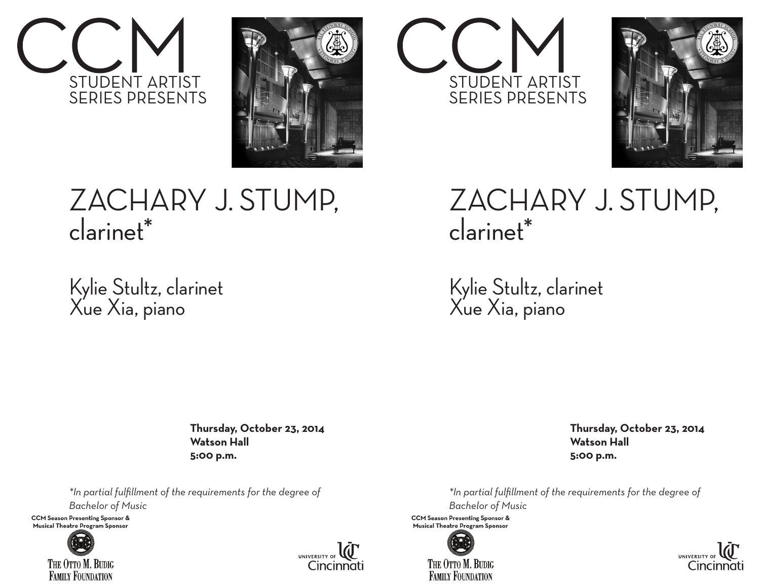



## ZACHARY J. STUMP, clarinet\*

Kylie Stultz, clarinet Xue Xia, piano

> **Thursday, October 23, 2014 Watson Hall 5:00 p.m.**

*\*In partial fulfillment of the requirements for the degree of Bachelor of Music* 

**CCM Season Presenting Sponsor &** Musical Theatre Program Sponsor